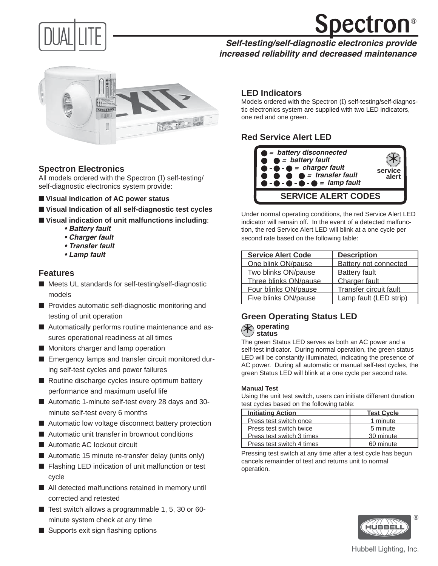



## **Self-testing/self-diagnostic electronics provide increased reliability and decreased maintenance**



## **Spectron Electronics**

All models ordered with the Spectron (I) self-testing/ self-diagnostic electronics system provide:

- Visual indication of **AC** power status
- Visual Indication of all self-diagnostic test cycles
- Visual indication of unit malfunctions including:
	- **Battery fault**
	- **Charger fault**
	- **Transfer fault**
	- **Lamp fault**

#### **Features**

- Meets UL standards for self-testing/self-diagnostic models
- Provides automatic self-diagnostic monitoring and testing of unit operation
- Automatically performs routine maintenance and assures operational readiness at all times
- Monitors charger and lamp operation
- Emergency lamps and transfer circuit monitored during self-test cycles and power failures
- Routine discharge cycles insure optimum battery performance and maximum useful life
- Automatic 1-minute self-test every 28 days and 30minute self-test every 6 months
- Automatic low voltage disconnect battery protection
- Automatic unit transfer in brownout conditions
- Automatic AC lockout circuit
- Automatic 15 minute re-transfer delay (units only)
- Flashing LED indication of unit malfunction or test cycle
- All detected malfunctions retained in memory until corrected and retested
- Test switch allows a programmable 1, 5, 30 or 60minute system check at any time
- Supports exit sign flashing options

#### **LED Indicators**

Models ordered with the Spectron (I) self-testing/self-diagnostic electronics system are supplied with two LED indicators, one red and one green.

## **Red Service Alert LED**



Under normal operating conditions, the red Service Alert LED indicator will remain off. In the event of a detected malfunction, the red Service Alert LED will blink at a one cycle per second rate based on the following table:

| <b>Service Alert Code</b> | <b>Description</b>     |
|---------------------------|------------------------|
| One blink ON/pause        | Battery not connected  |
| Two blinks ON/pause       | <b>Battery fault</b>   |
| Three blinks ON/pause     | Charger fault          |
| Four blinks ON/pause      | Transfer circuit fault |
| Five blinks ON/pause      | Lamp fault (LED strip) |

# **Green Operating Status LED \*** operating<br>The green Status **status**

The green Status LED serves as both an AC power and a self-test indicator. During normal operation, the green status LED will be constantly illuminated, indicating the presence of AC power. During all automatic or manual self-test cycles, the green Status LED will blink at a one cycle per second rate.

#### **Manual Test**

Using the unit test switch, users can initiate different duration test cycles based on the following table:

| <b>Initiating Action</b>  | <b>Test Cycle</b> |
|---------------------------|-------------------|
| Press test switch once    | 1 minute          |
| Press test switch twice   | 5 minute          |
| Press test switch 3 times | 30 minute         |
| Press test switch 4 times | 60 minute         |

Pressing test switch at any time after a test cycle has begun cancels remainder of test and returns unit to normal operation.



#### Hubbell Lighting, Inc.